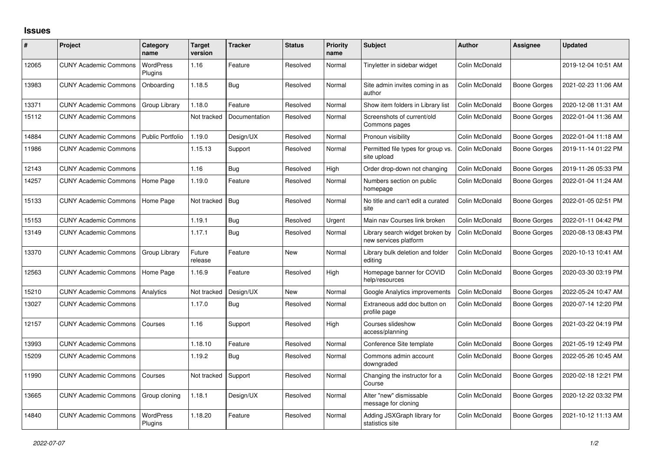## **Issues**

| #     | <b>Project</b>               | Category<br>name            | <b>Target</b><br>version | <b>Tracker</b> | <b>Status</b> | <b>Priority</b><br>name | <b>Subject</b>                                           | <b>Author</b>  | Assignee            | <b>Updated</b>      |
|-------|------------------------------|-----------------------------|--------------------------|----------------|---------------|-------------------------|----------------------------------------------------------|----------------|---------------------|---------------------|
| 12065 | <b>CUNY Academic Commons</b> | <b>WordPress</b><br>Plugins | 1.16                     | Feature        | Resolved      | Normal                  | Tinyletter in sidebar widget                             | Colin McDonald |                     | 2019-12-04 10:51 AM |
| 13983 | <b>CUNY Academic Commons</b> | Onboarding                  | 1.18.5                   | Bug            | Resolved      | Normal                  | Site admin invites coming in as<br>author                | Colin McDonald | Boone Gorges        | 2021-02-23 11:06 AM |
| 13371 | <b>CUNY Academic Commons</b> | Group Library               | 1.18.0                   | Feature        | Resolved      | Normal                  | Show item folders in Library list                        | Colin McDonald | <b>Boone Gorges</b> | 2020-12-08 11:31 AM |
| 15112 | <b>CUNY Academic Commons</b> |                             | Not tracked              | Documentation  | Resolved      | Normal                  | Screenshots of current/old<br>Commons pages              | Colin McDonald | Boone Gorges        | 2022-01-04 11:36 AM |
| 14884 | <b>CUNY Academic Commons</b> | <b>Public Portfolio</b>     | 1.19.0                   | Design/UX      | Resolved      | Normal                  | Pronoun visibility                                       | Colin McDonald | <b>Boone Gorges</b> | 2022-01-04 11:18 AM |
| 11986 | <b>CUNY Academic Commons</b> |                             | 1.15.13                  | Support        | Resolved      | Normal                  | Permitted file types for group vs.<br>site upload        | Colin McDonald | Boone Gorges        | 2019-11-14 01:22 PM |
| 12143 | <b>CUNY Academic Commons</b> |                             | 1.16                     | Bug            | Resolved      | High                    | Order drop-down not changing                             | Colin McDonald | Boone Gorges        | 2019-11-26 05:33 PM |
| 14257 | <b>CUNY Academic Commons</b> | Home Page                   | 1.19.0                   | Feature        | Resolved      | Normal                  | Numbers section on public<br>homepage                    | Colin McDonald | Boone Gorges        | 2022-01-04 11:24 AM |
| 15133 | <b>CUNY Academic Commons</b> | Home Page                   | Not tracked              | Bug            | Resolved      | Normal                  | No title and can't edit a curated<br>site                | Colin McDonald | Boone Gorges        | 2022-01-05 02:51 PM |
| 15153 | <b>CUNY Academic Commons</b> |                             | 1.19.1                   | Bug            | Resolved      | Urgent                  | Main nav Courses link broken                             | Colin McDonald | Boone Gorges        | 2022-01-11 04:42 PM |
| 13149 | <b>CUNY Academic Commons</b> |                             | 1.17.1                   | <b>Bug</b>     | Resolved      | Normal                  | Library search widget broken by<br>new services platform | Colin McDonald | Boone Gorges        | 2020-08-13 08:43 PM |
| 13370 | <b>CUNY Academic Commons</b> | Group Library               | Future<br>release        | Feature        | <b>New</b>    | Normal                  | Library bulk deletion and folder<br>editina              | Colin McDonald | Boone Gorges        | 2020-10-13 10:41 AM |
| 12563 | <b>CUNY Academic Commons</b> | Home Page                   | 1.16.9                   | Feature        | Resolved      | High                    | Homepage banner for COVID<br>help/resources              | Colin McDonald | Boone Gorges        | 2020-03-30 03:19 PM |
| 15210 | <b>CUNY Academic Commons</b> | Analytics                   | Not tracked              | Design/UX      | <b>New</b>    | Normal                  | Google Analytics improvements                            | Colin McDonald | <b>Boone Gorges</b> | 2022-05-24 10:47 AM |
| 13027 | <b>CUNY Academic Commons</b> |                             | 1.17.0                   | <b>Bug</b>     | Resolved      | Normal                  | Extraneous add doc button on<br>profile page             | Colin McDonald | Boone Gorges        | 2020-07-14 12:20 PM |
| 12157 | <b>CUNY Academic Commons</b> | Courses                     | 1.16                     | Support        | Resolved      | High                    | Courses slideshow<br>access/planning                     | Colin McDonald | Boone Gorges        | 2021-03-22 04:19 PM |
| 13993 | <b>CUNY Academic Commons</b> |                             | 1.18.10                  | Feature        | Resolved      | Normal                  | Conference Site template                                 | Colin McDonald | Boone Gorges        | 2021-05-19 12:49 PM |
| 15209 | <b>CUNY Academic Commons</b> |                             | 1.19.2                   | Bug            | Resolved      | Normal                  | Commons admin account<br>downgraded                      | Colin McDonald | Boone Gorges        | 2022-05-26 10:45 AM |
| 11990 | <b>CUNY Academic Commons</b> | Courses                     | Not tracked              | Support        | Resolved      | Normal                  | Changing the instructor for a<br>Course                  | Colin McDonald | Boone Gorges        | 2020-02-18 12:21 PM |
| 13665 | <b>CUNY Academic Commons</b> | Group cloning               | 1.18.1                   | Design/UX      | Resolved      | Normal                  | Alter "new" dismissable<br>message for cloning           | Colin McDonald | Boone Gorges        | 2020-12-22 03:32 PM |
| 14840 | <b>CUNY Academic Commons</b> | <b>WordPress</b><br>Plugins | 1.18.20                  | Feature        | Resolved      | Normal                  | Adding JSXGraph library for<br>statistics site           | Colin McDonald | Boone Gorges        | 2021-10-12 11:13 AM |